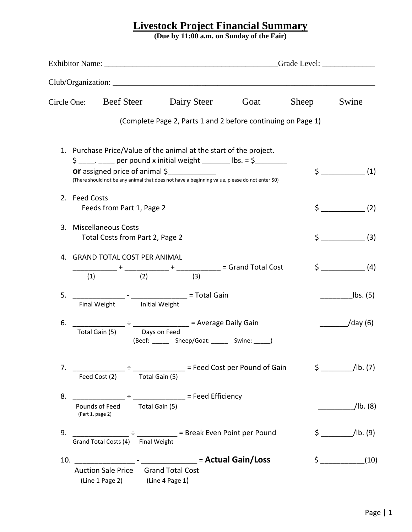## **Livestock Project Financial Summary**

**(Due by 11:00 a.m. on Sunday of the Fair)**

|               | Circle One: Beef Steer                                                                                       |  | Dairy Steer Goat                                                                                                                                                     | Sheep | Swine                         |
|---------------|--------------------------------------------------------------------------------------------------------------|--|----------------------------------------------------------------------------------------------------------------------------------------------------------------------|-------|-------------------------------|
|               |                                                                                                              |  | (Complete Page 2, Parts 1 and 2 before continuing on Page 1)                                                                                                         |       |                               |
|               |                                                                                                              |  | 1. Purchase Price/Value of the animal at the start of the project.<br>$\frac{1}{2}$ $\frac{1}{2}$ $\frac{1}{2}$ per pound x initial weight _______ lbs. = \$________ |       |                               |
|               | <b>or</b> assigned price of animal \$                                                                        |  | (There should not be any animal that does not have a beginning value, please do not enter \$0)                                                                       | \$.   | (1)                           |
| 2. Feed Costs | Feeds from Part 1, Page 2                                                                                    |  |                                                                                                                                                                      |       | $\zeta$ (2)                   |
|               | 3. Miscellaneous Costs<br>Total Costs from Part 2, Page 2                                                    |  |                                                                                                                                                                      |       | $\zeta$ (3)                   |
|               | 4. GRAND TOTAL COST PER ANIMAL                                                                               |  |                                                                                                                                                                      |       | $\zeta$ (4)                   |
|               |                                                                                                              |  |                                                                                                                                                                      |       |                               |
| 5.            | Final Weight Initial Weight                                                                                  |  |                                                                                                                                                                      |       | $\mathsf{lbs.}\left(5\right)$ |
| 6.            | Total Gain (5) Days on Feed                                                                                  |  | (Beef: ______ Sheep/Goat: _____ Swine: ____)                                                                                                                         |       | $\frac{1}{\text{day (6)}}$    |
|               | Feed Cost (2) Total Gain (5)                                                                                 |  |                                                                                                                                                                      |       | $\sin(7)$                     |
| 8.            | _________________ ÷ _________________ = Feed Efficiency<br>Pounds of Feed Total Gain (5)<br>(Part 1, page 2) |  |                                                                                                                                                                      |       | $/$ lb. $(8)$                 |
| 9.            | Grand Total Costs (4) Final Weight                                                                           |  | ________________________________ = Break Even Point per Pound                                                                                                        |       | $\frac{1}{2}$ /lb. (9)        |
|               |                                                                                                              |  |                                                                                                                                                                      |       | $\zeta$ (10)                  |
|               | Auction Sale Price Grand Total Cost<br>(Line 1 Page 2) (Line 4 Page 1)                                       |  |                                                                                                                                                                      |       |                               |